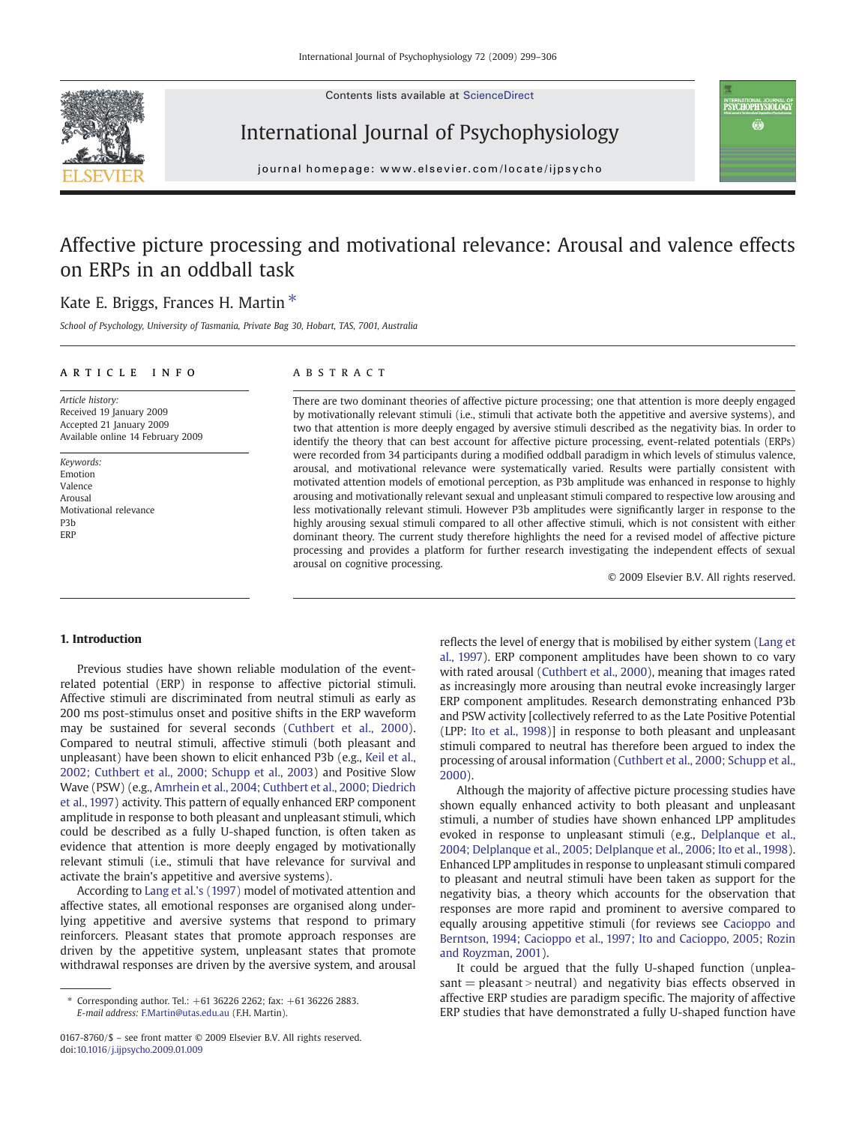Contents lists available at ScienceDirect





## International Journal of Psychophysiology

journal homepage: www.elsevier.com/locate/ijpsycho

# Affective picture processing and motivational relevance: Arousal and valence effects on ERPs in an oddball task

### Kate E. Briggs, Frances H. Martin  $*$

School of Psychology, University of Tasmania, Private Bag 30, Hobart, TAS, 7001, Australia

#### article info abstract

Article history: Received 19 January 2009 Accepted 21 January 2009 Available online 14 February 2009

Keywords: Emotion Valence Arousal Motivational relevance P3b ERP

There are two dominant theories of affective picture processing; one that attention is more deeply engaged by motivationally relevant stimuli (i.e., stimuli that activate both the appetitive and aversive systems), and two that attention is more deeply engaged by aversive stimuli described as the negativity bias. In order to identify the theory that can best account for affective picture processing, event-related potentials (ERPs) were recorded from 34 participants during a modified oddball paradigm in which levels of stimulus valence, arousal, and motivational relevance were systematically varied. Results were partially consistent with motivated attention models of emotional perception, as P3b amplitude was enhanced in response to highly arousing and motivationally relevant sexual and unpleasant stimuli compared to respective low arousing and less motivationally relevant stimuli. However P3b amplitudes were significantly larger in response to the highly arousing sexual stimuli compared to all other affective stimuli, which is not consistent with either dominant theory. The current study therefore highlights the need for a revised model of affective picture processing and provides a platform for further research investigating the independent effects of sexual arousal on cognitive processing.

© 2009 Elsevier B.V. All rights reserved.

#### 1. Introduction

Previous studies have shown reliable modulation of the eventrelated potential (ERP) in response to affective pictorial stimuli. Affective stimuli are discriminated from neutral stimuli as early as 200 ms post-stimulus onset and positive shifts in the ERP waveform may be sustained for several seconds [\(Cuthbert et al., 2000](#page--1-0)). Compared to neutral stimuli, affective stimuli (both pleasant and unpleasant) have been shown to elicit enhanced P3b (e.g., [Keil et al.,](#page--1-0) [2002; Cuthbert et al., 2000; Schupp et al., 2003](#page--1-0)) and Positive Slow Wave (PSW) (e.g., [Amrhein et al., 2004; Cuthbert et al., 2000; Diedrich](#page--1-0) [et al., 1997\)](#page--1-0) activity. This pattern of equally enhanced ERP component amplitude in response to both pleasant and unpleasant stimuli, which could be described as a fully U-shaped function, is often taken as evidence that attention is more deeply engaged by motivationally relevant stimuli (i.e., stimuli that have relevance for survival and activate the brain's appetitive and aversive systems).

According to [Lang et al.'s \(1997\)](#page--1-0) model of motivated attention and affective states, all emotional responses are organised along underlying appetitive and aversive systems that respond to primary reinforcers. Pleasant states that promote approach responses are driven by the appetitive system, unpleasant states that promote withdrawal responses are driven by the aversive system, and arousal reflects the level of energy that is mobilised by either system ([Lang et](#page--1-0) [al., 1997\)](#page--1-0). ERP component amplitudes have been shown to co vary with rated arousal ([Cuthbert et al., 2000\)](#page--1-0), meaning that images rated as increasingly more arousing than neutral evoke increasingly larger ERP component amplitudes. Research demonstrating enhanced P3b and PSW activity [collectively referred to as the Late Positive Potential (LPP: [Ito et al., 1998](#page--1-0))] in response to both pleasant and unpleasant stimuli compared to neutral has therefore been argued to index the processing of arousal information [\(Cuthbert et al., 2000; Schupp et al.,](#page--1-0) [2000](#page--1-0)).

Although the majority of affective picture processing studies have shown equally enhanced activity to both pleasant and unpleasant stimuli, a number of studies have shown enhanced LPP amplitudes evoked in response to unpleasant stimuli (e.g., [Delplanque et al.,](#page--1-0) [2004; Delplanque et al., 2005; Delplanque et al., 2006; Ito et al., 1998](#page--1-0)). Enhanced LPP amplitudes in response to unpleasant stimuli compared to pleasant and neutral stimuli have been taken as support for the negativity bias, a theory which accounts for the observation that responses are more rapid and prominent to aversive compared to equally arousing appetitive stimuli (for reviews see [Cacioppo and](#page--1-0) [Berntson, 1994; Cacioppo et al., 1997; Ito and Cacioppo, 2005; Rozin](#page--1-0) [and Royzman, 2001](#page--1-0)).

It could be argued that the fully U-shaped function (unplea $sant = p$  leasant > neutral) and negativity bias effects observed in affective ERP studies are paradigm specific. The majority of affective ERP studies that have demonstrated a fully U-shaped function have

<sup>⁎</sup> Corresponding author. Tel.: +61 36226 2262; fax: +61 36226 2883. E-mail address: [F.Martin@utas.edu.au](mailto:F.Martin@utas.edu.au) (F.H. Martin).

<sup>0167-8760/\$</sup> – see front matter © 2009 Elsevier B.V. All rights reserved. doi:[10.1016/j.ijpsycho.2009.01.009](http://dx.doi.org/10.1016/j.ijpsycho.2009.01.009)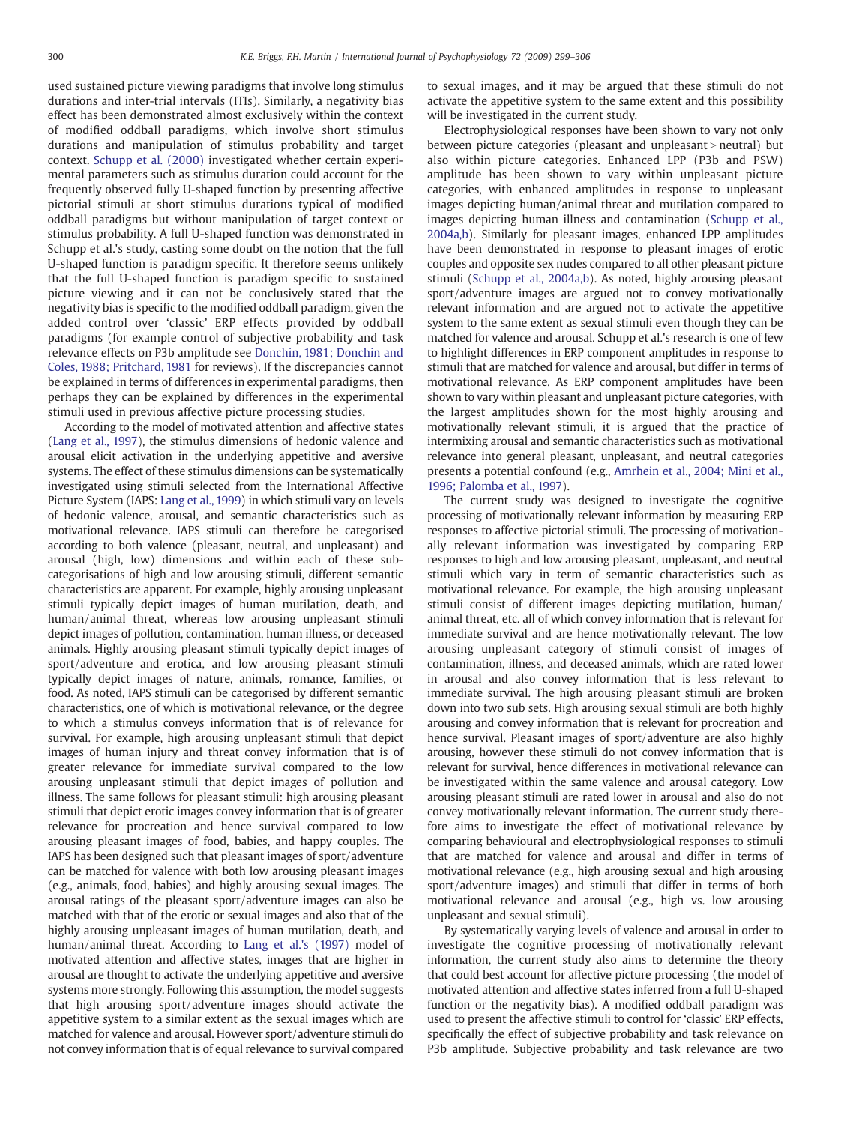used sustained picture viewing paradigms that involve long stimulus durations and inter-trial intervals (ITIs). Similarly, a negativity bias effect has been demonstrated almost exclusively within the context of modified oddball paradigms, which involve short stimulus durations and manipulation of stimulus probability and target context. [Schupp et al. \(2000\)](#page--1-0) investigated whether certain experimental parameters such as stimulus duration could account for the frequently observed fully U-shaped function by presenting affective pictorial stimuli at short stimulus durations typical of modified oddball paradigms but without manipulation of target context or stimulus probability. A full U-shaped function was demonstrated in Schupp et al.'s study, casting some doubt on the notion that the full U-shaped function is paradigm specific. It therefore seems unlikely that the full U-shaped function is paradigm specific to sustained picture viewing and it can not be conclusively stated that the negativity bias is specific to the modified oddball paradigm, given the added control over 'classic' ERP effects provided by oddball paradigms (for example control of subjective probability and task relevance effects on P3b amplitude see [Donchin, 1981; Donchin and](#page--1-0) [Coles, 1988; Pritchard, 1981](#page--1-0) for reviews). If the discrepancies cannot be explained in terms of differences in experimental paradigms, then perhaps they can be explained by differences in the experimental stimuli used in previous affective picture processing studies.

According to the model of motivated attention and affective states [\(Lang et al., 1997](#page--1-0)), the stimulus dimensions of hedonic valence and arousal elicit activation in the underlying appetitive and aversive systems. The effect of these stimulus dimensions can be systematically investigated using stimuli selected from the International Affective Picture System (IAPS: [Lang et al., 1999](#page--1-0)) in which stimuli vary on levels of hedonic valence, arousal, and semantic characteristics such as motivational relevance. IAPS stimuli can therefore be categorised according to both valence (pleasant, neutral, and unpleasant) and arousal (high, low) dimensions and within each of these subcategorisations of high and low arousing stimuli, different semantic characteristics are apparent. For example, highly arousing unpleasant stimuli typically depict images of human mutilation, death, and human/animal threat, whereas low arousing unpleasant stimuli depict images of pollution, contamination, human illness, or deceased animals. Highly arousing pleasant stimuli typically depict images of sport/adventure and erotica, and low arousing pleasant stimuli typically depict images of nature, animals, romance, families, or food. As noted, IAPS stimuli can be categorised by different semantic characteristics, one of which is motivational relevance, or the degree to which a stimulus conveys information that is of relevance for survival. For example, high arousing unpleasant stimuli that depict images of human injury and threat convey information that is of greater relevance for immediate survival compared to the low arousing unpleasant stimuli that depict images of pollution and illness. The same follows for pleasant stimuli: high arousing pleasant stimuli that depict erotic images convey information that is of greater relevance for procreation and hence survival compared to low arousing pleasant images of food, babies, and happy couples. The IAPS has been designed such that pleasant images of sport/adventure can be matched for valence with both low arousing pleasant images (e.g., animals, food, babies) and highly arousing sexual images. The arousal ratings of the pleasant sport/adventure images can also be matched with that of the erotic or sexual images and also that of the highly arousing unpleasant images of human mutilation, death, and human/animal threat. According to [Lang et al.'s \(1997\)](#page--1-0) model of motivated attention and affective states, images that are higher in arousal are thought to activate the underlying appetitive and aversive systems more strongly. Following this assumption, the model suggests that high arousing sport/adventure images should activate the appetitive system to a similar extent as the sexual images which are matched for valence and arousal. However sport/adventure stimuli do not convey information that is of equal relevance to survival compared

to sexual images, and it may be argued that these stimuli do not activate the appetitive system to the same extent and this possibility will be investigated in the current study.

Electrophysiological responses have been shown to vary not only between picture categories (pleasant and unpleasant  $>$  neutral) but also within picture categories. Enhanced LPP (P3b and PSW) amplitude has been shown to vary within unpleasant picture categories, with enhanced amplitudes in response to unpleasant images depicting human/animal threat and mutilation compared to images depicting human illness and contamination ([Schupp et al.,](#page--1-0) [2004a,b\)](#page--1-0). Similarly for pleasant images, enhanced LPP amplitudes have been demonstrated in response to pleasant images of erotic couples and opposite sex nudes compared to all other pleasant picture stimuli ([Schupp et al., 2004a,b](#page--1-0)). As noted, highly arousing pleasant sport/adventure images are argued not to convey motivationally relevant information and are argued not to activate the appetitive system to the same extent as sexual stimuli even though they can be matched for valence and arousal. Schupp et al.'s research is one of few to highlight differences in ERP component amplitudes in response to stimuli that are matched for valence and arousal, but differ in terms of motivational relevance. As ERP component amplitudes have been shown to vary within pleasant and unpleasant picture categories, with the largest amplitudes shown for the most highly arousing and motivationally relevant stimuli, it is argued that the practice of intermixing arousal and semantic characteristics such as motivational relevance into general pleasant, unpleasant, and neutral categories presents a potential confound (e.g., [Amrhein et al., 2004; Mini et al.,](#page--1-0) [1996; Palomba et al., 1997\)](#page--1-0).

The current study was designed to investigate the cognitive processing of motivationally relevant information by measuring ERP responses to affective pictorial stimuli. The processing of motivationally relevant information was investigated by comparing ERP responses to high and low arousing pleasant, unpleasant, and neutral stimuli which vary in term of semantic characteristics such as motivational relevance. For example, the high arousing unpleasant stimuli consist of different images depicting mutilation, human/ animal threat, etc. all of which convey information that is relevant for immediate survival and are hence motivationally relevant. The low arousing unpleasant category of stimuli consist of images of contamination, illness, and deceased animals, which are rated lower in arousal and also convey information that is less relevant to immediate survival. The high arousing pleasant stimuli are broken down into two sub sets. High arousing sexual stimuli are both highly arousing and convey information that is relevant for procreation and hence survival. Pleasant images of sport/adventure are also highly arousing, however these stimuli do not convey information that is relevant for survival, hence differences in motivational relevance can be investigated within the same valence and arousal category. Low arousing pleasant stimuli are rated lower in arousal and also do not convey motivationally relevant information. The current study therefore aims to investigate the effect of motivational relevance by comparing behavioural and electrophysiological responses to stimuli that are matched for valence and arousal and differ in terms of motivational relevance (e.g., high arousing sexual and high arousing sport/adventure images) and stimuli that differ in terms of both motivational relevance and arousal (e.g., high vs. low arousing unpleasant and sexual stimuli).

By systematically varying levels of valence and arousal in order to investigate the cognitive processing of motivationally relevant information, the current study also aims to determine the theory that could best account for affective picture processing (the model of motivated attention and affective states inferred from a full U-shaped function or the negativity bias). A modified oddball paradigm was used to present the affective stimuli to control for 'classic' ERP effects, specifically the effect of subjective probability and task relevance on P3b amplitude. Subjective probability and task relevance are two